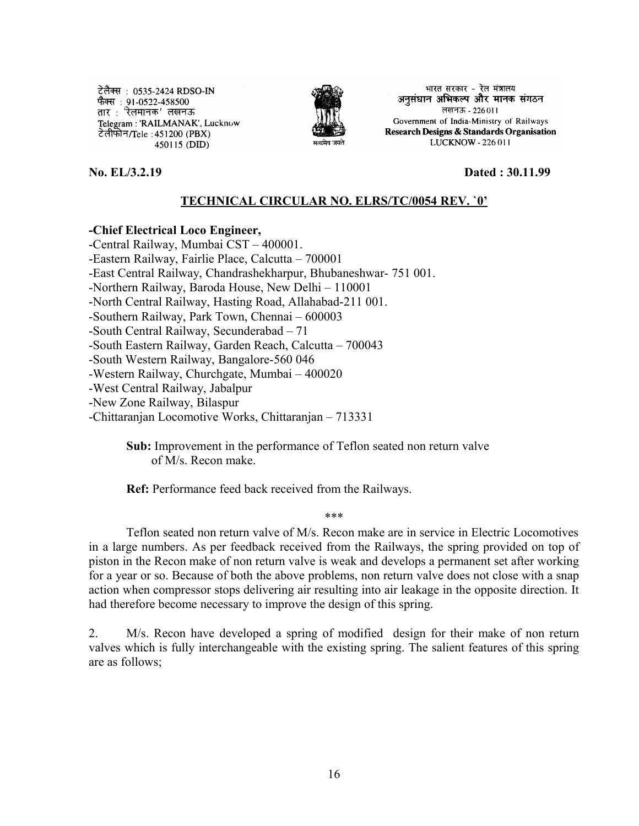टेलैक्स : 0535-2424 RDSO-IN फैक्स : 91-0522-458500 तार : 'रेलमानक' लखनऊ Telegram: 'RAILMANAK', Lucknow टेलीफोन/Tele : 451200 (PBX) 450115 (DID)



भारत सरकार - रेल मंत्रालय अनुसंधान अभिकल्प और मानक संगठन लखनऊ - 226011 Government of India-Ministry of Railways Research Designs & Standards Organisation LUCKNOW - 226 011

**No. EL/3.2.19 Dated : 30.11.99**

## **TECHNICAL CIRCULAR NO. ELRS/TC/0054 REV. `0'**

## **-Chief Electrical Loco Engineer,**

-Central Railway, Mumbai CST – 400001. -Eastern Railway, Fairlie Place, Calcutta – 700001 -East Central Railway, Chandrashekharpur, Bhubaneshwar- 751 001. -Northern Railway, Baroda House, New Delhi – 110001 -North Central Railway, Hasting Road, Allahabad-211 001. -Southern Railway, Park Town, Chennai – 600003 -South Central Railway, Secunderabad – 71 -South Eastern Railway, Garden Reach, Calcutta – 700043 -South Western Railway, Bangalore-560 046 -Western Railway, Churchgate, Mumbai – 400020 -West Central Railway, Jabalpur -New Zone Railway, Bilaspur -Chittaranjan Locomotive Works, Chittaranjan – 713331

> **Sub:** Improvement in the performance of Teflon seated non return valve of M/s. Recon make.

**Ref:** Performance feed back received from the Railways.

\*\*\*

Teflon seated non return valve of M/s. Recon make are in service in Electric Locomotives in a large numbers. As per feedback received from the Railways, the spring provided on top of piston in the Recon make of non return valve is weak and develops a permanent set after working for a year or so. Because of both the above problems, non return valve does not close with a snap action when compressor stops delivering air resulting into air leakage in the opposite direction. It had therefore become necessary to improve the design of this spring.

2. M/s. Recon have developed a spring of modified design for their make of non return valves which is fully interchangeable with the existing spring. The salient features of this spring are as follows;